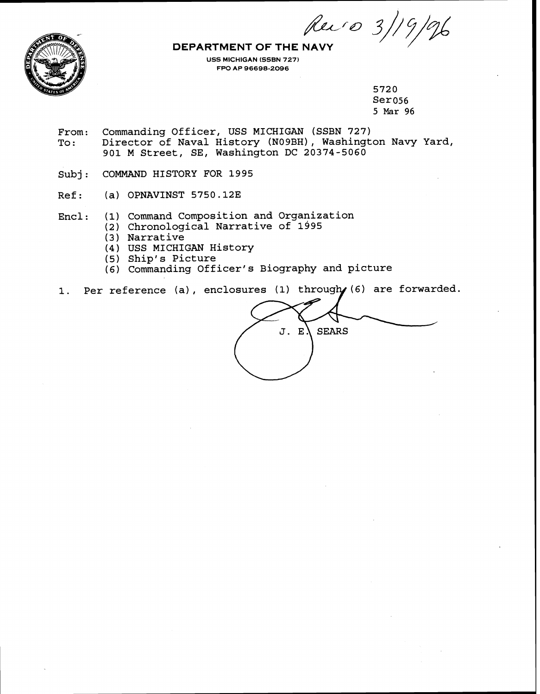Rev 0 3/19/96



**USS MICHIGAN (SSBN 727) FPO AP 96698-2096** 

> 5720 Ser056 5 Mar 96

- From: Commanding Officer, USS MICHIGAN (SSBN 727)<br>To: Director of Naval History (N09BH), Washingt Director of Naval History (NO9BH), Washington Navy Yard, 901 M Street, SE, Washington DC 20374-5060
- Subj: COMMAND HISTORY FOR 1995
- **Ref** : **(a)** OPNAVINST 5750.12E
- Enel: (1) Command Composition and Organization
	- **(2)** Chronological Narrative of 1995
		- (3 ) Narrative
		- (4) USS MICHIGAN History
		- (5) Ship's Picture
		- (6) Commanding Officer's Biography and picture
- 1. Per reference (a), enclosures (1) through (6) are forwarded.

J. E. **SEARS**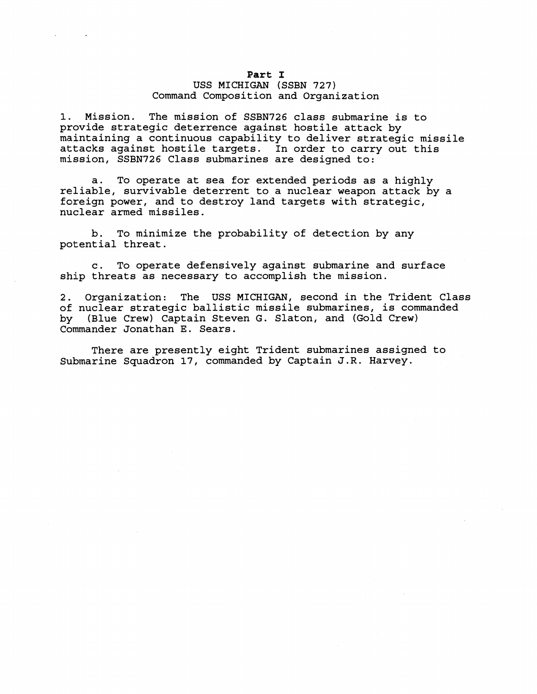### Part I

# USS MICHIGAN (SSBN 727) Command Composition and Organization

1. Mission. The mission of SSBN726 class submarine is to provide strategic deterrence against hostile attack by maintaining a continuous capability to deliver strategic missile attacks against hostile targets. In order to carry out this mission, SSBN726 Class submarines are designed to:

a. To operate at sea for extended periods as a highly reliable, survivable deterrent to a nuclear weapon attack by a foreign power, and to destroy land targets with strategic, nuclear armed missiles.

b. To minimize the probability of detection by any potential threat.

c. To operate defensively against submarine and surface ship threats as necessary to accomplish the mission.

2. Organization: The USS MICHIGAN, second in the Trident Class of nuclear strategic ballistic missile submarines, is commanded<br>by (Blue Crew) Captain Steven G. Slaton, and (Gold Crew) (Blue Crew) Captain Steven G. Slaton, and (Gold Crew) Commander Jonathan E. Sears.

There are presently eight Trident submarines assigned to Submarine Squadron 17, commanded by Captain J.R. Harvey.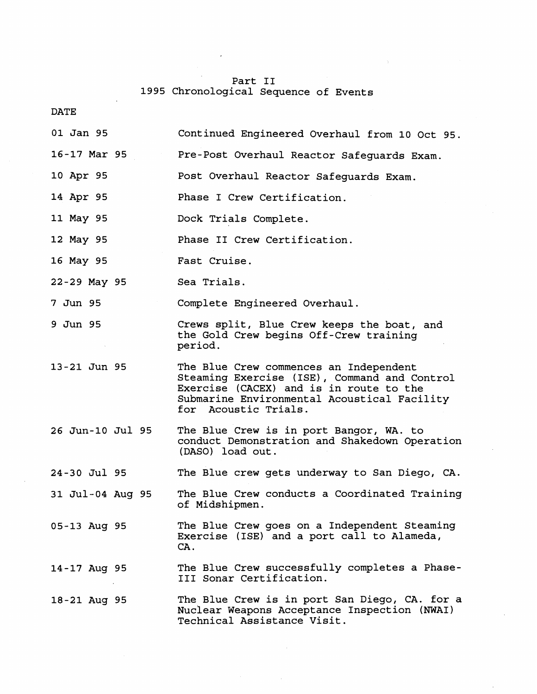# Part I1 **1995** Chronological Sequence of Events

| <b>DATE</b>      |                                                                                                                                                                                                          |
|------------------|----------------------------------------------------------------------------------------------------------------------------------------------------------------------------------------------------------|
| 01 Jan 95        | Continued Engineered Overhaul from 10 Oct 95.                                                                                                                                                            |
| 16-17 Mar 95     | Pre-Post Overhaul Reactor Safeguards Exam.                                                                                                                                                               |
| 10 Apr 95        | Post Overhaul Reactor Safeguards Exam.                                                                                                                                                                   |
| 14 Apr 95        | Phase I Crew Certification.                                                                                                                                                                              |
| 11 May 95        | Dock Trials Complete.                                                                                                                                                                                    |
| 12 May 95        | Phase II Crew Certification.                                                                                                                                                                             |
| 16 May 95        | Fast Cruise.                                                                                                                                                                                             |
| 22-29 May 95     | Sea Trials.                                                                                                                                                                                              |
| 7 Jun 95         | Complete Engineered Overhaul.                                                                                                                                                                            |
| 9 Jun 95         | Crews split, Blue Crew keeps the boat, and<br>the Gold Crew begins Off-Crew training<br>period.                                                                                                          |
| 13-21 Jun 95     | The Blue Crew commences an Independent<br>Steaming Exercise (ISE), Command and Control<br>Exercise (CACEX) and is in route to the<br>Submarine Environmental Acoustical Facility<br>for Acoustic Trials. |
| 26 Jun-10 Jul 95 | The Blue Crew is in port Bangor, WA. to<br>conduct Demonstration and Shakedown Operation<br>(DASO) load out.                                                                                             |
| 24-30 Jul 95     | The Blue crew gets underway to San Diego, CA.                                                                                                                                                            |
| 31 Jul-04 Aug 95 | The Blue Crew conducts a Coordinated Training<br>of Midshipmen.                                                                                                                                          |
| 05-13 Aug 95     | The Blue Crew goes on a Independent Steaming<br>Exercise (ISE) and a port call to Alameda,<br>CA.                                                                                                        |
| 14-17 Aug 95     | The Blue Crew successfully completes a Phase-<br>III Sonar Certification.                                                                                                                                |
| 18-21 Aug 95     | The Blue Crew is in port San Diego, CA. for a<br>Nuclear Weapons Acceptance Inspection (NWAI)<br>Technical Assistance Visit.                                                                             |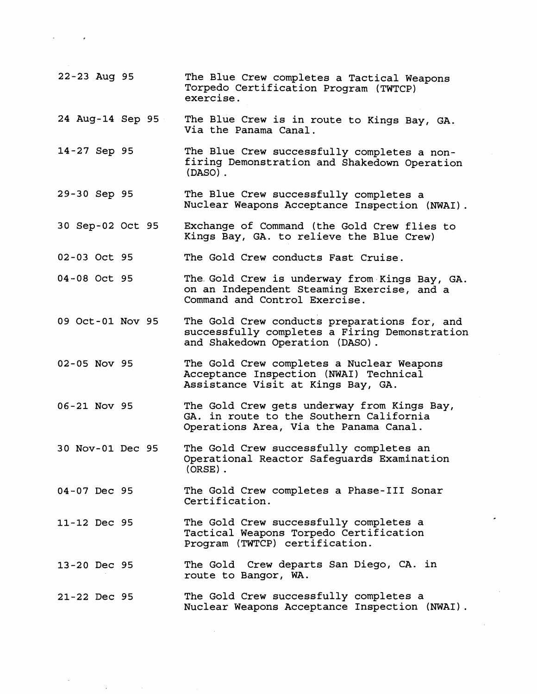22-23 Aug **95** The Blue Crew completes a Tactical Weapons Torpedo Certification Program (TWTCP) exercise. 24 Aug-14 Sep **95** The Blue Crew is in route to Kings Bay, GA. Via the Panama Canal. 14-27 Sep **95** The Blue Crew successfully completes a nonfiring Demonstration and Shakedown Operation (DASO) . 29-30 Sep **95** The Blue Crew successfully completes a Nuclear Weapons Acceptance Inspection (NWAI) . 30 Sep-02 Oct **95** Exchange of Command (the Gold Crew flies to Kings Bay, GA. to relieve the Blue Crew) 02-03 Oct **95** The Gold Crew conducts Fast Cruise. 04--08 Oct **95** The. Gold Crew is underway from.Kings Bay, GA. on an Independent Steaming Exercise, and a Command and Control Exercise. 09 Oct-01 Nov **95** The Gold Crew conducts preparations for, and successfully completes a Firing Demonstration and Shakedown Operation (DASO) . 02-05 Nov **95** The Gold Crew completes a Nuclear Weapons Acceptance Inspection **(NWAI)** Technical Assistance Visit at Kings Bay, GA. 06-21 Nov **95** The Gold Crew gets underway from Kings Bay, GA. in route to the Southern California Operations Area, Via the Panama Canal. 30 Nov-01 Dec **95** The Gold Crew successfully completes an Operational Reactor Safeguards Examination (ORSE) . 04--07 Dec **95**  11-12 Dec **95**  13-20 Dec **95**  21-22 Dec **95**  The Gold Crew completes a Phase-I11 Sonar Certification. The Gold Crew successfully completes a Tactical Weapons Torpedo Certification Program (TWTCP) certification. The Gold Crew departs San Diego, CA. in route to Bangor, WA. The Gold Crew successfully completes a Nuclear Weapons Acceptance Inspection (NWAI) .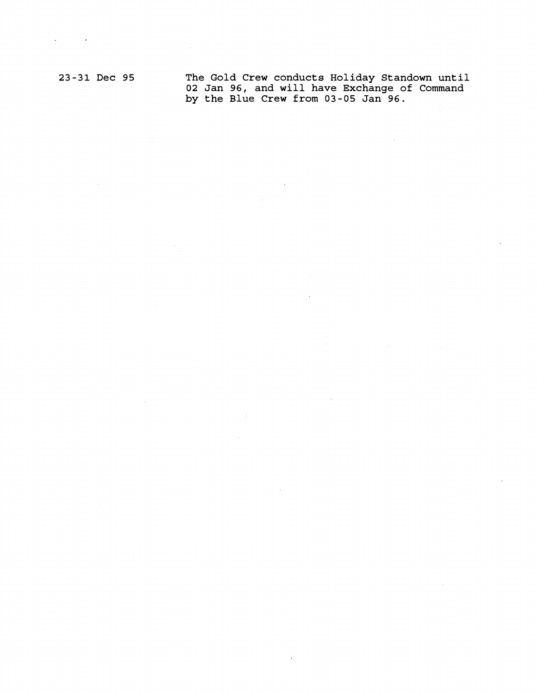$\sim$ 

 $\hat{\boldsymbol{\cdot}$ 

**23-31 Dec 95 The Gold Crew conducts Holiday Standown until 02 Jan 96, and will have Exchange of Command by the Blue Crew from 03-05 Jan 96.** 

 $\sim 10^6$ 

 $\ddot{\phantom{a}}$ 

 $\sim$ 

÷.

 $\bar{\lambda}$ 

 $\sim 10^{-10}$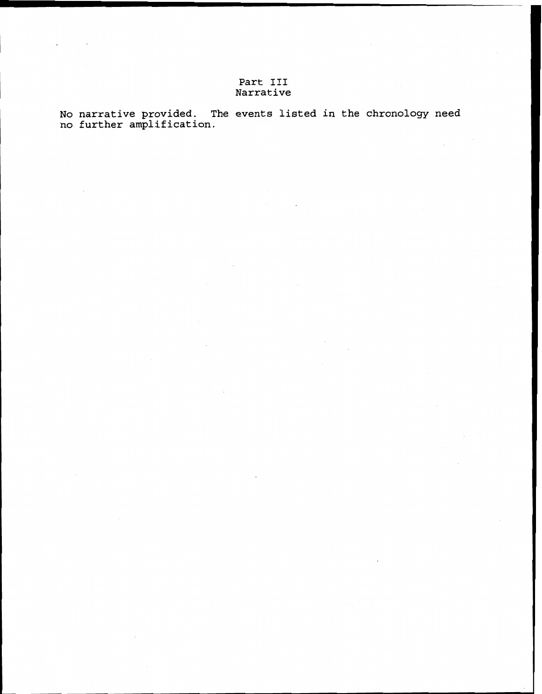# **Part I11 Narrative**

**No narrative provided. The events listed in the chronology need no further amplification.**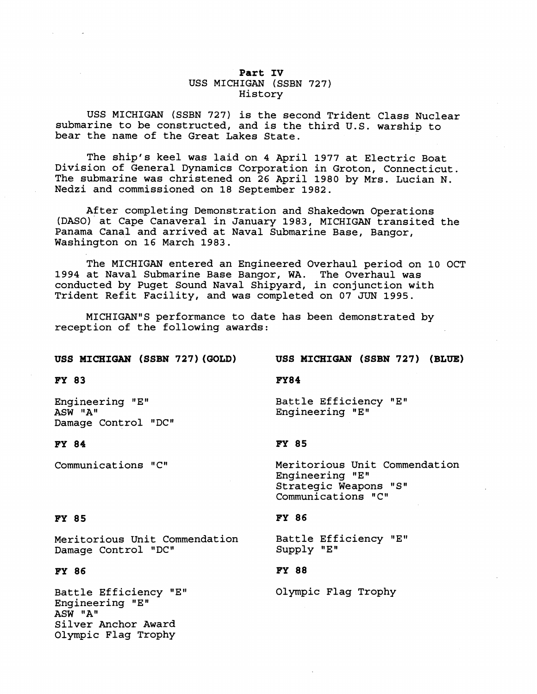# Part IV USS MICHIGAN (SSBN 727) History

USS MICHIGAN (SSBN 727) is the second Trident Class Nuclear submarine to be constructed, and is the third U.S. warship to bear the name of the Great Lakes State.

The ship's keel was laid on 4 April 1977 at Electric Boat Division of General Dynamics Corporation in Groton, Connecticut. The submarine was christened on 26 April 1980 by Mrs. Lucian N. Nedzi and commissioned on 18 September 1982.

After completing Demonstration and Shakedown Operations (DASO). at Cape Canaveral in January 1983, MICHIGAN transited the Panama Canal and arrived at Naval Submarine Base, Bangor, Washington on 16 March 1983.

The MICHIGAN entered an Engineered Overhaul period on 10 OCT 1994 at Naval Submarine Base Bangor, WA. The Overhaul was conducted by Puget Sound Naval Shipyard, in conjunction with Trident Refit Facility, and was completed on 07 JUN 1995.

MICHIGAN"S performance to date has been demonstrated by reception of the following awards:

#### **USS MICHIGAN (SSBN 727) (GOLD)**

**USS MICHIGAN (SSBN 727) (BLUE)** 

### **FY84**

Engineering "EW ASW "A" Damage Control "DC"

#### **FY 84**

**FY 83** 

Communications "C"

# Engineering "E"

# **FY 85**

Meritorious Unit Commendation Engineering "E" Strategic Weapons "S" Communications "C"

### **FY 86**

Battle Efficiency "EW Supply "E"

Battle Efficiency "E"

# **FY 88**

Olympic Flag Trophy

#### **FY 85**

Meritorious Unit Commendation Damage Control "DC"

#### **FY 86**

Battle Efficiency "En Engineering "E" ASW "A" Silver Anchor Award Olympic Flag Trophy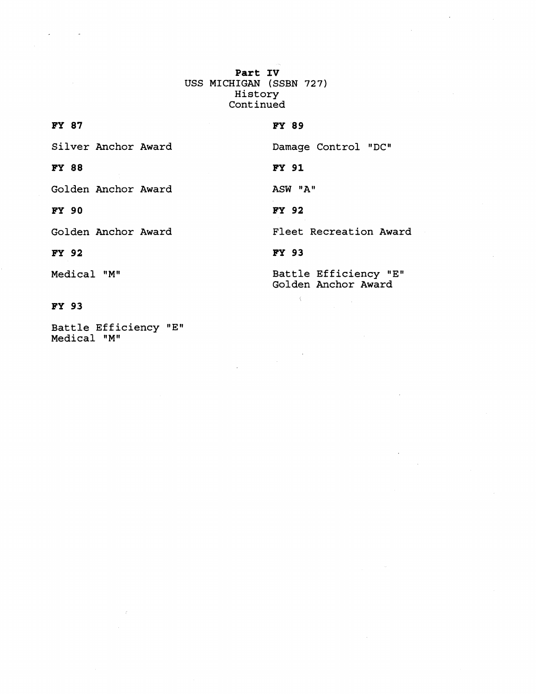**Part IV**  USS MICHIGAN (SSBN 727) History Continued

**FY 87**  Silver Anchor Award Damage Control "DC" **FY** 88 FY 91 Golden Anchor Award ASW "A" FY 90 **FY 92** Golden Anchor Award Fleet Recreation Award **FY 93 FY** 92 Battle Efficiency "E" Medical "M"

# FY 93

Battle Efficiency "E" Medical "M"

 $\sim$   $\sim$ 

Golden Anchor Award

 $\langle$ 

# FY 89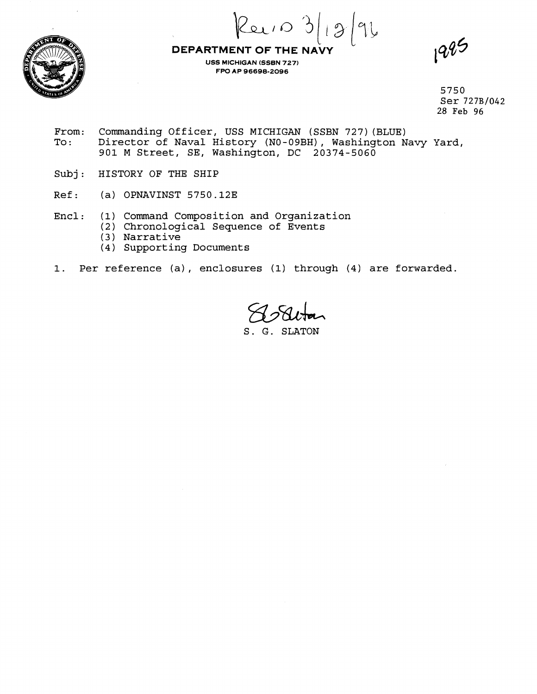

**L**  $\alpha$  is  $\beta$  is  $\gamma$ 

**USS MICHIGAN (SSBN 727) FW AP 96698-2096** 

1995

5750 Ser **727B1042**  28 Feb **96** 

- From: Commanding Officer, USS MICHIGAN (SSBN 727)(BLUE)<br>To: Director of Naval History (NO-09BH), Washington N To : Director of Naval History (NO-09BH), Washington Navy Yard, 901 M Street, SE, Washington, DC 20374-5060
- Subj: HISTORY OF THE SHIP
- Ref: (a) OPNAVINST 5750.12E
- Encl: (1) Command Composition and Organization
	- (2) Chronological Sequence of Events
		- (3 ) Narrative
		- (4) Supporting Documents
- 1. Per reference (a) , enclosures (1) through (4) are forwarded.

S. G. SLATON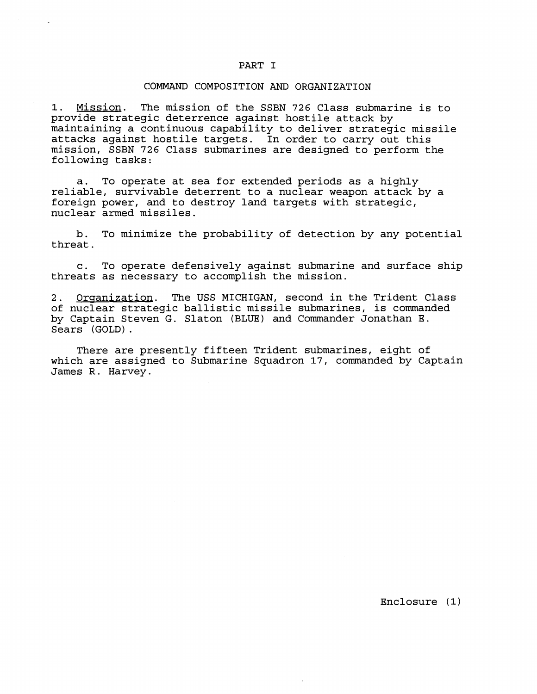### PART I

#### COMMAND COMPOSITION AND ORGANIZATION

**1.** Mission. The mission of the SSBN **726** Class submarine is to provide strategic deterrence against hostile attack by maintaining a continuous capability to deliver strategic missile attacks against hostile targets. In order to carry out this mission, SSBN **726** Class submarines are designed to perform the following tasks:

a. To operate at sea for extended periods as a highly reliable, survivable deterrent to a nuclear weapon attack by a foreign power, and to destroy land targets with strategic, nuclear armed missiles.

b. To minimize the probability of detection by any potential threat.

c. To operate defensively against submarine and surface ship threats as necessary to accomplish the mission.

2. Orqanization. The USS MICHIGAN, second in the Trident Class of nuclear strategic ballistic missile submarines, is commanded by Captain Steven G. Slaton (BLUE) and Commander Jonathan E. Sears (GOLD) .

There are presently fifteen Trident submarines, eight of which are assigned to Submarine Squadron 17, commanded by Captain James R. Harvey.

Enclosure **(1)**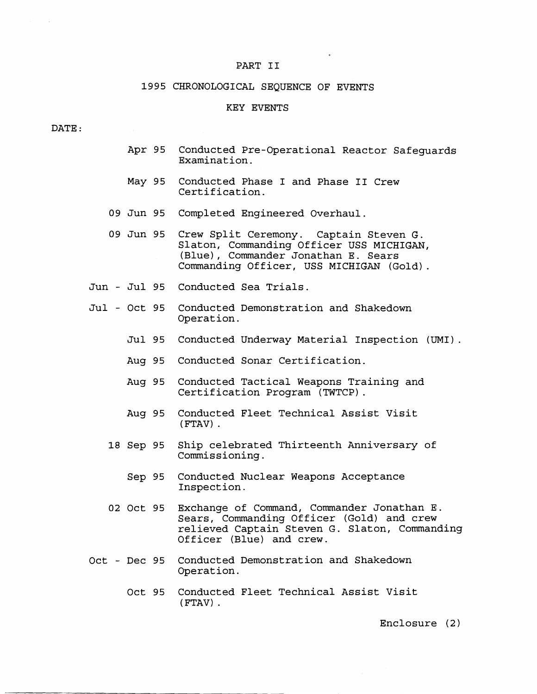#### PART I1

# 1995 CHRONOLOGICAL SEQUENCE OF EVENTS

#### KEY EVENTS

#### DATE :

- Apr 95 Conducted Pre-Operational Reactor Safeguards Examination.
- May 95 Conducted Phase I and Phase **I1** Crew Certification.
- 09 Jun 95 Completed Engineered Overhaul.
- 09 Jun 95 Crew Split Ceremony. Captain Steven G. Slaton, Commanding Officer USS MICHIGAN, (Blue), Commander Jonathan E. Sears Commanding Officer, USS MICHIGAN (Gold) .
- Jun Jul 95 Conducted Sea Trials.
- Jul Oct 95 Conducted Demonstration and Shakedown Operation.
	- Jul 95 Conducted Underway Material Inspection (UMI) .
	- Aug 95 Conducted Sonar Certification.
	- Aug 95 Conducted Tactical Weapons Training and Certification Program (TWTCP) .
	- Aug 95 Conducted Fleet Technical Assist Visit ( FTAV) .
	- 18 Sep 95 Ship celebrated Thirteenth Anniversary of Commissioning.
		- Sep 95 Conducted Nuclear Weapons Acceptance Inspection.
	- 02 Oct 95 Exchange of Command, Commander Jonathan E. Sears, Commanding Officer (Gold) and crew relieved Captain Steven G. Slaton, Commanding Officer (Blue) and crew.
- Oct Dec 95 Conducted Demonstration and Shakedown Operation.
	- Oct 95 Conducted Fleet Technical Assist Visit (FTAV) .

Enclosure (2)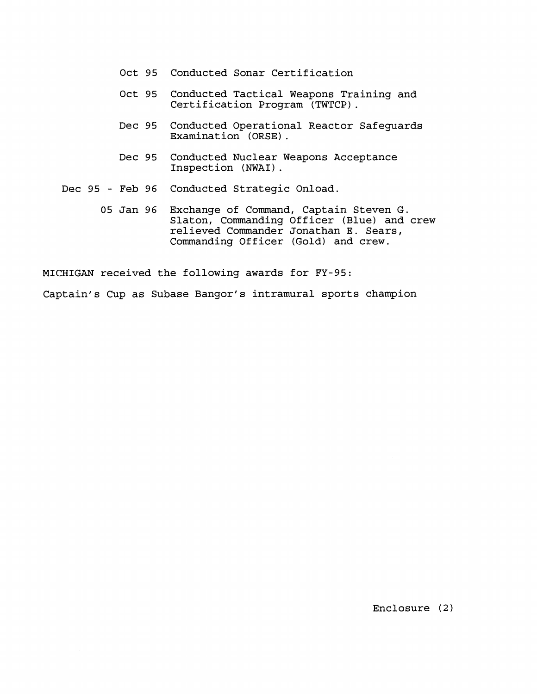- Oct 95 Conducted Sonar Certification
- Oct **95** Conducted Tactical Weapons Training and Certification Program (TWTCP) .
- Dec **95** Conducted Operational Reactor Safeguards Examination (ORSE) .
- Dec **95** Conducted Nuclear Weapons Acceptance Inspection (NWAI) .

Dec **95** - Feb 96 Conducted Strategic Onload.

**05** Jan 96 Exchange of Command, Captain Steven G. Slaton, Commanding Officer (Blue) and crew relieved Commander Jonathan E. Sears, Commanding Officer (Gold) and crew.

MICHIGAN received the following awards for **FY-95:** 

Captain's Cup as Subase Bangor's intramural sports champion

Enclosure (2)